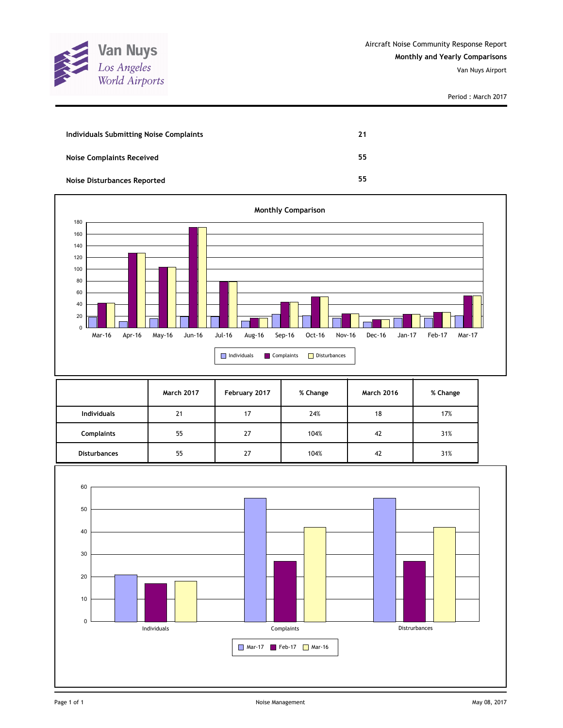

| Individuals Submitting Noise Complaints | 21 |
|-----------------------------------------|----|
| <b>Noise Complaints Received</b>        | 55 |
| <b>Noise Disturbances Reported</b>      | 55 |



|                     | <b>March 2017</b> | February 2017 | % Change | <b>March 2016</b> | % Change |
|---------------------|-------------------|---------------|----------|-------------------|----------|
| <b>Individuals</b>  | 21                | 17            | 24%      | 18                | 17%      |
| <b>Complaints</b>   | 55                | 27            | 104%     | 42                | 31%      |
| <b>Disturbances</b> | 55                | 27            | 104%     | 42                | 31%      |

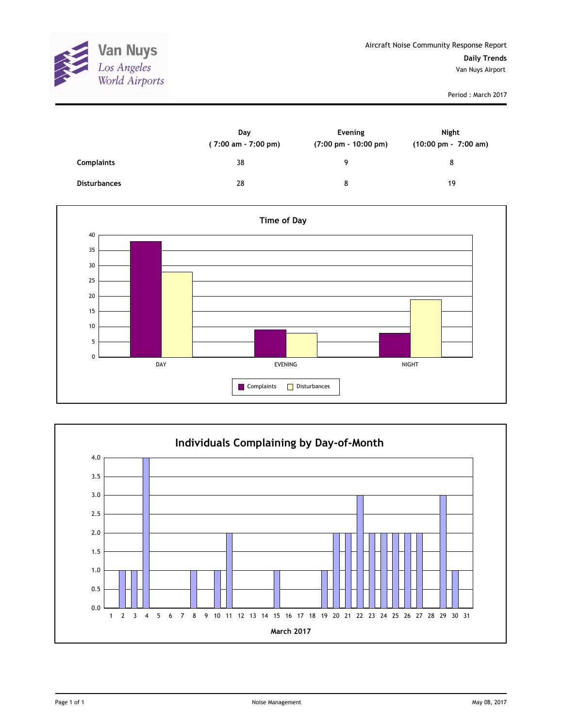

|                     | Day<br>$(7:00 \text{ am} - 7:00 \text{ pm})$ | Evening<br>$(7:00 \text{ pm} - 10:00 \text{ pm})$ | Night<br>(10:00 pm - 7:00 am) |
|---------------------|----------------------------------------------|---------------------------------------------------|-------------------------------|
| <b>Complaints</b>   | 38                                           | 9                                                 | 8                             |
| <b>Disturbances</b> | 28                                           | 8                                                 | 19                            |



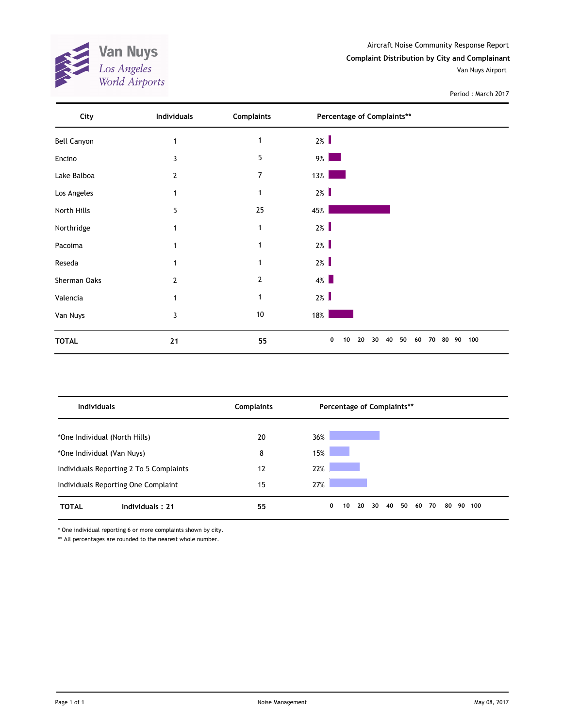**Van Nuys**<br>Los Angeles<br>World Airports AND 1

Aircraft Noise Community Response Report **Complaint Distribution by City and Complainant** Van Nuys Airport

Period : March 2017

| City               | <b>Individuals</b> | <b>Complaints</b> | Percentage of Complaints**                  |              |
|--------------------|--------------------|-------------------|---------------------------------------------|--------------|
| <b>Bell Canyon</b> |                    | 1                 | $2\%$                                       |              |
| Encino             | 3                  | 5                 | $9\%$                                       |              |
| Lake Balboa        | 2                  | 7                 | $13\%$                                      |              |
| Los Angeles        | 1                  |                   | $2\%$                                       |              |
| North Hills        | 5                  | 25                | 45%                                         |              |
| Northridge         |                    | 1                 | $2\%$                                       |              |
| Pacoima            |                    | 1                 | $2\%$                                       |              |
| Reseda             |                    |                   | $2\%$                                       |              |
| Sherman Oaks       | 2                  | 2                 | $4\%$                                       |              |
| Valencia           |                    | 1                 | $2\%$                                       |              |
| Van Nuys           | 3                  | $10\,$            | 18%                                         |              |
| <b>TOTAL</b>       | 21                 | 55                | 50<br>0<br>20<br>30<br>40<br>60<br>70<br>10 | 100<br>80 90 |

| <b>Individuals</b>                      | <b>Complaints</b> | Percentage of Complaints**                                     |  |  |  |
|-----------------------------------------|-------------------|----------------------------------------------------------------|--|--|--|
| *One Individual (North Hills)           | 20                | 36%                                                            |  |  |  |
| *One Individual (Van Nuys)              | 8                 | 15%                                                            |  |  |  |
| Individuals Reporting 2 To 5 Complaints | 12                | 22%                                                            |  |  |  |
| Individuals Reporting One Complaint     | 15                | 27%                                                            |  |  |  |
| <b>Individuals: 21</b><br><b>TOTAL</b>  | 55                | 40<br>50<br>0<br>20<br>30<br>60<br>70<br>90<br>10<br>80<br>100 |  |  |  |

\* One individual reporting 6 or more complaints shown by city.

\*\* All percentages are rounded to the nearest whole number.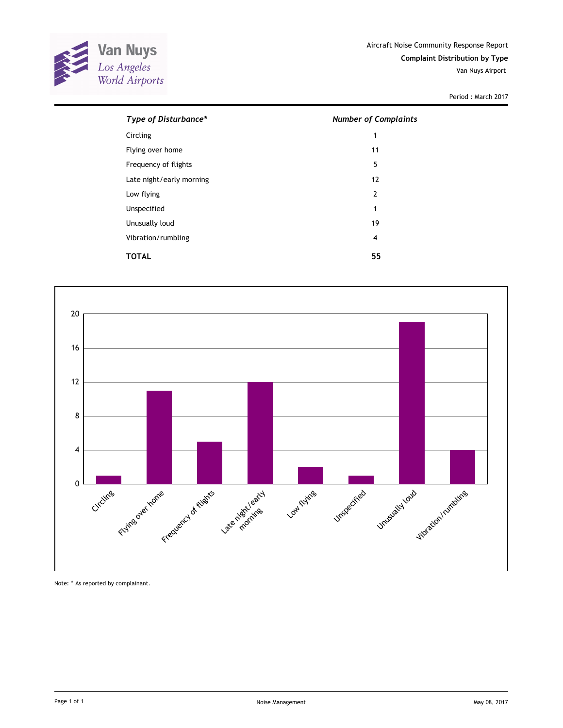

| Type of Disturbance*     | <b>Number of Complaints</b> |  |  |
|--------------------------|-----------------------------|--|--|
| Circling                 | 1                           |  |  |
| Flying over home         | 11                          |  |  |
| Frequency of flights     | 5                           |  |  |
| Late night/early morning | 12                          |  |  |
| Low flying               | $\overline{2}$              |  |  |
| Unspecified              | 1                           |  |  |
| Unusually loud           | 19                          |  |  |
| Vibration/rumbling       | 4                           |  |  |
| TOTAL                    | 55                          |  |  |



Note: \* As reported by complainant.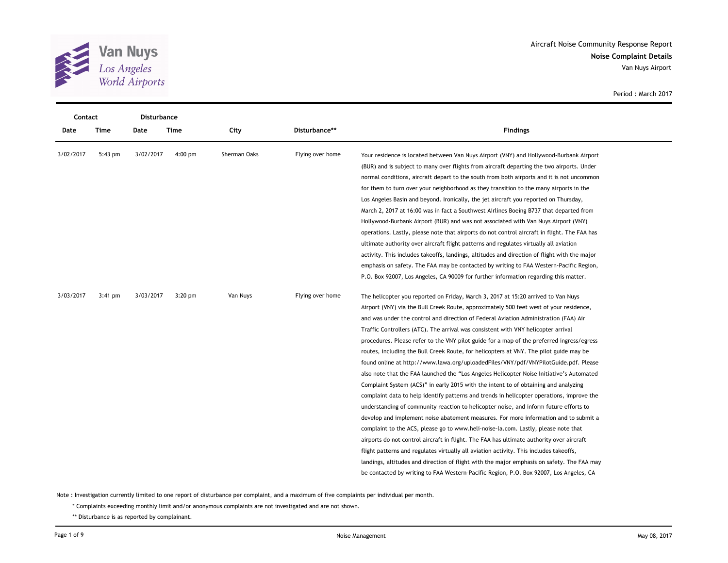

|           | Contact   |           | Disturbance |              |                  |                                                                                              |
|-----------|-----------|-----------|-------------|--------------|------------------|----------------------------------------------------------------------------------------------|
| Date      | Time      | Date      | Time        | City         | Disturbance**    | <b>Findings</b>                                                                              |
| 3/02/2017 | 5:43 pm   | 3/02/2017 | $4:00$ pm   | Sherman Oaks | Flying over home | Your residence is located between Van Nuys Airport (VNY) and Hollywood-Burbank Airport       |
|           |           |           |             |              |                  | (BUR) and is subject to many over flights from aircraft departing the two airports. Under    |
|           |           |           |             |              |                  | normal conditions, aircraft depart to the south from both airports and it is not uncommon    |
|           |           |           |             |              |                  | for them to turn over your neighborhood as they transition to the many airports in the       |
|           |           |           |             |              |                  | Los Angeles Basin and beyond. Ironically, the jet aircraft you reported on Thursday,         |
|           |           |           |             |              |                  | March 2, 2017 at 16:00 was in fact a Southwest Airlines Boeing B737 that departed from       |
|           |           |           |             |              |                  | Hollywood-Burbank Airport (BUR) and was not associated with Van Nuys Airport (VNY)           |
|           |           |           |             |              |                  | operations. Lastly, please note that airports do not control aircraft in flight. The FAA has |
|           |           |           |             |              |                  | ultimate authority over aircraft flight patterns and regulates virtually all aviation        |
|           |           |           |             |              |                  | activity. This includes takeoffs, landings, altitudes and direction of flight with the major |
|           |           |           |             |              |                  | emphasis on safety. The FAA may be contacted by writing to FAA Western-Pacific Region,       |
|           |           |           |             |              |                  | P.O. Box 92007, Los Angeles, CA 90009 for further information regarding this matter.         |
| 3/03/2017 | $3:41$ pm | 3/03/2017 | $3:20$ pm   | Van Nuys     | Flying over home | The helicopter you reported on Friday, March 3, 2017 at 15:20 arrived to Van Nuys            |
|           |           |           |             |              |                  | Airport (VNY) via the Bull Creek Route, approximately 500 feet west of your residence,       |
|           |           |           |             |              |                  | and was under the control and direction of Federal Aviation Administration (FAA) Air         |
|           |           |           |             |              |                  | Traffic Controllers (ATC). The arrival was consistent with VNY helicopter arrival            |
|           |           |           |             |              |                  | procedures. Please refer to the VNY pilot guide for a map of the preferred ingress/egress    |
|           |           |           |             |              |                  | routes, including the Bull Creek Route, for helicopters at VNY. The pilot guide may be       |
|           |           |           |             |              |                  | found online at http://www.lawa.org/uploadedFiles/VNY/pdf/VNYPilotGuide.pdf. Please          |
|           |           |           |             |              |                  | also note that the FAA launched the "Los Angeles Helicopter Noise Initiative's Automated     |
|           |           |           |             |              |                  | Complaint System (ACS)" in early 2015 with the intent to of obtaining and analyzing          |
|           |           |           |             |              |                  | complaint data to help identify patterns and trends in helicopter operations, improve the    |
|           |           |           |             |              |                  | understanding of community reaction to helicopter noise, and inform future efforts to        |
|           |           |           |             |              |                  | develop and implement noise abatement measures. For more information and to submit a         |
|           |           |           |             |              |                  | complaint to the ACS, please go to www.heli-noise-la.com. Lastly, please note that           |
|           |           |           |             |              |                  | airports do not control aircraft in flight. The FAA has ultimate authority over aircraft     |
|           |           |           |             |              |                  | flight patterns and regulates virtually all aviation activity. This includes takeoffs,       |
|           |           |           |             |              |                  | landings, altitudes and direction of flight with the major emphasis on safety. The FAA may   |
|           |           |           |             |              |                  | be contacted by writing to FAA Western-Pacific Region, P.O. Box 92007, Los Angeles, CA       |

Note : Investigation currently limited to one report of disturbance per complaint, and a maximum of five complaints per individual per month.

\* Complaints exceeding monthly limit and/or anonymous complaints are not investigated and are not shown.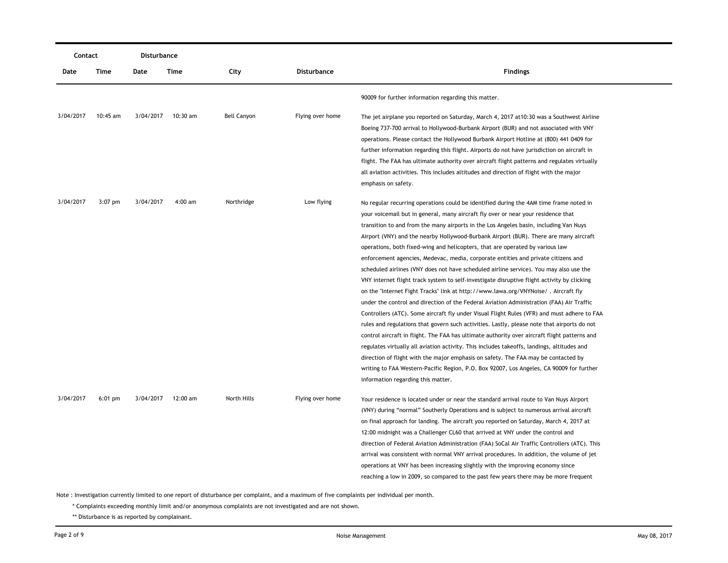|           | Contact   |           | Disturbance        |                    |                  |                                                                                                                                                                                                                                                                                                                                                                                                                                                                                                                                                                                                                                                                                                                                                                                                                                                                                                                                                                                                                                                                                                                                                                                                                                                                                                                                                                                                                                                                                                                                    |
|-----------|-----------|-----------|--------------------|--------------------|------------------|------------------------------------------------------------------------------------------------------------------------------------------------------------------------------------------------------------------------------------------------------------------------------------------------------------------------------------------------------------------------------------------------------------------------------------------------------------------------------------------------------------------------------------------------------------------------------------------------------------------------------------------------------------------------------------------------------------------------------------------------------------------------------------------------------------------------------------------------------------------------------------------------------------------------------------------------------------------------------------------------------------------------------------------------------------------------------------------------------------------------------------------------------------------------------------------------------------------------------------------------------------------------------------------------------------------------------------------------------------------------------------------------------------------------------------------------------------------------------------------------------------------------------------|
| Date      | Time      | Date      | Time               | City               | Disturbance      | <b>Findings</b>                                                                                                                                                                                                                                                                                                                                                                                                                                                                                                                                                                                                                                                                                                                                                                                                                                                                                                                                                                                                                                                                                                                                                                                                                                                                                                                                                                                                                                                                                                                    |
|           |           |           |                    |                    |                  | 90009 for further information regarding this matter.                                                                                                                                                                                                                                                                                                                                                                                                                                                                                                                                                                                                                                                                                                                                                                                                                                                                                                                                                                                                                                                                                                                                                                                                                                                                                                                                                                                                                                                                               |
| 3/04/2017 | 10:45 am  | 3/04/2017 | 10:30 am           | <b>Bell Canyon</b> | Flying over home | The jet airplane you reported on Saturday, March 4, 2017 at 10:30 was a Southwest Airline<br>Boeing 737-700 arrival to Hollywood-Burbank Airport (BUR) and not associated with VNY<br>operations. Please contact the Hollywood Burbank Airport Hotline at (800) 441 0409 for<br>further information regarding this flight. Airports do not have jurisdiction on aircraft in<br>flight. The FAA has ultimate authority over aircraft flight patterns and regulates virtually<br>all aviation activities. This includes altitudes and direction of flight with the major<br>emphasis on safety.                                                                                                                                                                                                                                                                                                                                                                                                                                                                                                                                                                                                                                                                                                                                                                                                                                                                                                                                      |
| 3/04/2017 | $3:07$ pm | 3/04/2017 | $4:00$ am          | Northridge         | Low flying       | No regular recurring operations could be identified during the 4AM time frame noted in<br>your voicemail but in general, many aircraft fly over or near your residence that<br>transition to and from the many airports in the Los Angeles basin, including Van Nuys<br>Airport (VNY) and the nearby Hollywood-Burbank Airport (BUR). There are many aircraft<br>operations, both fixed-wing and helicopters, that are operated by various law<br>enforcement agencies, Medevac, media, corporate entities and private citizens and<br>scheduled airlines (VNY does not have scheduled airline service). You may also use the<br>VNY internet flight track system to self-investigate disruptive flight activity by clicking<br>on the "Internet Fight Tracks" link at http://www.lawa.org/VNYNoise/. Aircraft fly<br>under the control and direction of the Federal Aviation Administration (FAA) Air Traffic<br>Controllers (ATC). Some aircraft fly under Visual Flight Rules (VFR) and must adhere to FAA<br>rules and regulations that govern such activities. Lastly, please note that airports do not<br>control aircraft in flight. The FAA has ultimate authority over aircraft flight patterns and<br>regulates virtually all aviation activity. This includes takeoffs, landings, altitudes and<br>direction of flight with the major emphasis on safety. The FAA may be contacted by<br>writing to FAA Western-Pacific Region, P.O. Box 92007, Los Angeles, CA 90009 for further<br>information regarding this matter. |
| 3/04/2017 | $6:01$ pm |           | 3/04/2017 12:00 am | North Hills        | Flying over home | Your residence is located under or near the standard arrival route to Van Nuys Airport<br>(VNY) during "normal" Southerly Operations and is subject to numerous arrival aircraft<br>on final approach for landing. The aircraft you reported on Saturday, March 4, 2017 at<br>12:00 midnight was a Challenger CL60 that arrived at VNY under the control and<br>direction of Federal Aviation Administration (FAA) SoCal Air Traffic Controllers (ATC). This<br>arrival was consistent with normal VNY arrival procedures. In addition, the volume of jet<br>operations at VNY has been increasing slightly with the improving economy since<br>reaching a low in 2009, so compared to the past few years there may be more frequent                                                                                                                                                                                                                                                                                                                                                                                                                                                                                                                                                                                                                                                                                                                                                                                               |

\* Complaints exceeding monthly limit and/or anonymous complaints are not investigated and are not shown.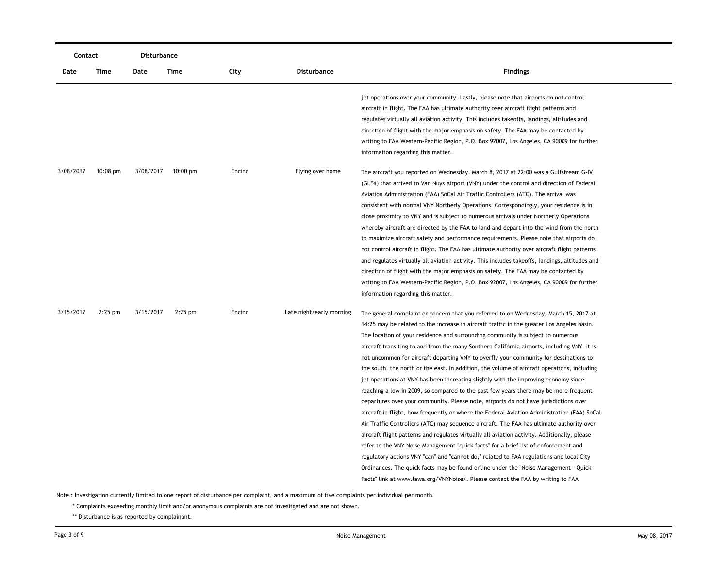| Contact   |            | Disturbance |           |        |                          |                                                                                                                                                                                                                                                                                                                                                                                                                                                                                                                                                                                                                                                                                                                                                                                                                                                                                                                                                                                                                                                                                                                                                                                                                                                                                                                                                                                                                                                                                             |
|-----------|------------|-------------|-----------|--------|--------------------------|---------------------------------------------------------------------------------------------------------------------------------------------------------------------------------------------------------------------------------------------------------------------------------------------------------------------------------------------------------------------------------------------------------------------------------------------------------------------------------------------------------------------------------------------------------------------------------------------------------------------------------------------------------------------------------------------------------------------------------------------------------------------------------------------------------------------------------------------------------------------------------------------------------------------------------------------------------------------------------------------------------------------------------------------------------------------------------------------------------------------------------------------------------------------------------------------------------------------------------------------------------------------------------------------------------------------------------------------------------------------------------------------------------------------------------------------------------------------------------------------|
| Date      | Time       | Date        | Time      | City   | Disturbance              | <b>Findings</b>                                                                                                                                                                                                                                                                                                                                                                                                                                                                                                                                                                                                                                                                                                                                                                                                                                                                                                                                                                                                                                                                                                                                                                                                                                                                                                                                                                                                                                                                             |
|           |            |             |           |        |                          | jet operations over your community. Lastly, please note that airports do not control<br>aircraft in flight. The FAA has ultimate authority over aircraft flight patterns and<br>regulates virtually all aviation activity. This includes takeoffs, landings, altitudes and<br>direction of flight with the major emphasis on safety. The FAA may be contacted by<br>writing to FAA Western-Pacific Region, P.O. Box 92007, Los Angeles, CA 90009 for further<br>information regarding this matter.                                                                                                                                                                                                                                                                                                                                                                                                                                                                                                                                                                                                                                                                                                                                                                                                                                                                                                                                                                                          |
| 3/08/2017 | $10:08$ pm | 3/08/2017   | 10:00 pm  | Encino | Flying over home         | The aircraft you reported on Wednesday, March 8, 2017 at 22:00 was a Gulfstream G-IV<br>(GLF4) that arrived to Van Nuys Airport (VNY) under the control and direction of Federal<br>Aviation Administration (FAA) SoCal Air Traffic Controllers (ATC). The arrival was<br>consistent with normal VNY Northerly Operations. Correspondingly, your residence is in<br>close proximity to VNY and is subject to numerous arrivals under Northerly Operations<br>whereby aircraft are directed by the FAA to land and depart into the wind from the north<br>to maximize aircraft safety and performance requirements. Please note that airports do<br>not control aircraft in flight. The FAA has ultimate authority over aircraft flight patterns<br>and regulates virtually all aviation activity. This includes takeoffs, landings, altitudes and<br>direction of flight with the major emphasis on safety. The FAA may be contacted by<br>writing to FAA Western-Pacific Region, P.O. Box 92007, Los Angeles, CA 90009 for further<br>information regarding this matter.                                                                                                                                                                                                                                                                                                                                                                                                                   |
| 3/15/2017 | $2:25$ pm  | 3/15/2017   | $2:25$ pm | Encino | Late night/early morning | The general complaint or concern that you referred to on Wednesday, March 15, 2017 at<br>14:25 may be related to the increase in aircraft traffic in the greater Los Angeles basin.<br>The location of your residence and surrounding community is subject to numerous<br>aircraft transiting to and from the many Southern California airports, including VNY. It is<br>not uncommon for aircraft departing VNY to overfly your community for destinations to<br>the south, the north or the east. In addition, the volume of aircraft operations, including<br>jet operations at VNY has been increasing slightly with the improving economy since<br>reaching a low in 2009, so compared to the past few years there may be more frequent<br>departures over your community. Please note, airports do not have jurisdictions over<br>aircraft in flight, how frequently or where the Federal Aviation Administration (FAA) SoCal<br>Air Traffic Controllers (ATC) may sequence aircraft. The FAA has ultimate authority over<br>aircraft flight patterns and regulates virtually all aviation activity. Additionally, please<br>refer to the VNY Noise Management "quick facts" for a brief list of enforcement and<br>regulatory actions VNY "can" and "cannot do," related to FAA regulations and local City<br>Ordinances. The quick facts may be found online under the "Noise Management - Quick<br>Facts" link at www.lawa.org/VNYNoise/. Please contact the FAA by writing to FAA |

\* Complaints exceeding monthly limit and/or anonymous complaints are not investigated and are not shown.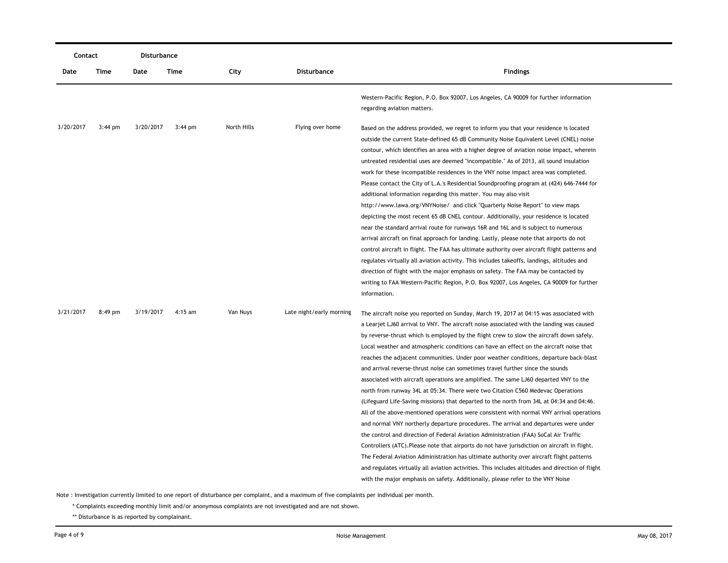|           | Contact   |           | Disturbance |             |                          |                                                                                                                                                                                                                                                                                                                                                                                                                                                                                                                                                                                                                                                                                                                                                                                                                                                                                                                                                                                                                                                                                                                                                                                                                                                                                                                                                                                                                                                                                          |
|-----------|-----------|-----------|-------------|-------------|--------------------------|------------------------------------------------------------------------------------------------------------------------------------------------------------------------------------------------------------------------------------------------------------------------------------------------------------------------------------------------------------------------------------------------------------------------------------------------------------------------------------------------------------------------------------------------------------------------------------------------------------------------------------------------------------------------------------------------------------------------------------------------------------------------------------------------------------------------------------------------------------------------------------------------------------------------------------------------------------------------------------------------------------------------------------------------------------------------------------------------------------------------------------------------------------------------------------------------------------------------------------------------------------------------------------------------------------------------------------------------------------------------------------------------------------------------------------------------------------------------------------------|
| Date      | Time      | Date      | Time        | City        | <b>Disturbance</b>       | <b>Findings</b>                                                                                                                                                                                                                                                                                                                                                                                                                                                                                                                                                                                                                                                                                                                                                                                                                                                                                                                                                                                                                                                                                                                                                                                                                                                                                                                                                                                                                                                                          |
|           |           |           |             |             |                          | Western-Pacific Region, P.O. Box 92007, Los Angeles, CA 90009 for further information<br>regarding aviation matters.                                                                                                                                                                                                                                                                                                                                                                                                                                                                                                                                                                                                                                                                                                                                                                                                                                                                                                                                                                                                                                                                                                                                                                                                                                                                                                                                                                     |
| 3/20/2017 | $3:44$ pm | 3/20/2017 | $3:44$ pm   | North Hills | Flying over home         | Based on the address provided, we regret to inform you that your residence is located<br>outside the current State-defined 65 dB Community Noise Equivalent Level (CNEL) noise<br>contour, which identifies an area with a higher degree of aviation noise impact, wherein<br>untreated residential uses are deemed "incompatible." As of 2013, all sound insulation<br>work for these incompatible residences in the VNY noise impact area was completed.<br>Please contact the City of L.A.'s Residential Soundproofing program at (424) 646-7444 for<br>additional information regarding this matter. You may also visit<br>http://www.lawa.org/VNYNoise/ and click "Quarterly Noise Report" to view maps<br>depicting the most recent 65 dB CNEL contour. Additionally, your residence is located<br>near the standard arrival route for runways 16R and 16L and is subject to numerous<br>arrival aircraft on final approach for landing. Lastly, please note that airports do not<br>control aircraft in flight. The FAA has ultimate authority over aircraft flight patterns and<br>regulates virtually all aviation activity. This includes takeoffs, landings, altitudes and<br>direction of flight with the major emphasis on safety. The FAA may be contacted by<br>writing to FAA Western-Pacific Region, P.O. Box 92007, Los Angeles, CA 90009 for further<br>information.                                                                                                  |
| 3/21/2017 | 8:49 pm   | 3/19/2017 | $4:15$ am   | Van Nuys    | Late night/early morning | The aircraft noise you reported on Sunday, March 19, 2017 at 04:15 was associated with<br>a Learjet LJ60 arrival to VNY. The aircraft noise associated with the landing was caused<br>by reverse-thrust which is employed by the flight crew to slow the aircraft down safely.<br>Local weather and atmospheric conditions can have an effect on the aircraft noise that<br>reaches the adjacent communities. Under poor weather conditions, departure back-blast<br>and arrival reverse-thrust noise can sometimes travel further since the sounds<br>associated with aircraft operations are amplified. The same LJ60 departed VNY to the<br>north from runway 34L at 05:34. There were two Citation C560 Medevac Operations<br>(Lifeguard Life-Saving missions) that departed to the north from 34L at 04:34 and 04:46.<br>All of the above-mentioned operations were consistent with normal VNY arrival operations<br>and normal VNY northerly departure procedures. The arrival and departures were under<br>the control and direction of Federal Aviation Administration (FAA) SoCal Air Traffic<br>Controllers (ATC). Please note that airports do not have jurisdiction on aircraft in flight.<br>The Federal Aviation Administration has ultimate authority over aircraft flight patterns<br>and regulates virtually all aviation activities. This includes altitudes and direction of flight<br>with the major emphasis on safety. Additionally, please refer to the VNY Noise |

\* Complaints exceeding monthly limit and/or anonymous complaints are not investigated and are not shown.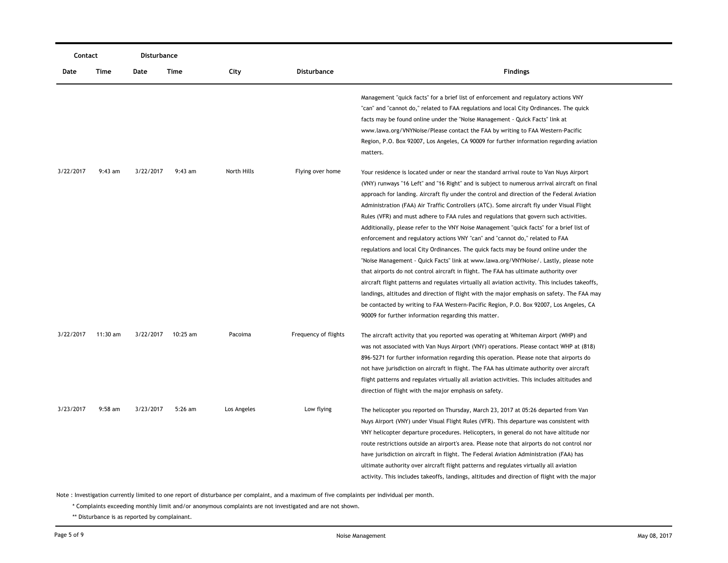| Contact   |            | Disturbance |           |             |                      |                                                                                                                                                                                                                                                                                                                                                                                                                                                                                                                                                                                                                                                                                                                                                                                                                                                                                                                                                                                                                                                                                                                                                                                                                                                                                  |
|-----------|------------|-------------|-----------|-------------|----------------------|----------------------------------------------------------------------------------------------------------------------------------------------------------------------------------------------------------------------------------------------------------------------------------------------------------------------------------------------------------------------------------------------------------------------------------------------------------------------------------------------------------------------------------------------------------------------------------------------------------------------------------------------------------------------------------------------------------------------------------------------------------------------------------------------------------------------------------------------------------------------------------------------------------------------------------------------------------------------------------------------------------------------------------------------------------------------------------------------------------------------------------------------------------------------------------------------------------------------------------------------------------------------------------|
| Date      | Time       | Date        | Time      | City        | <b>Disturbance</b>   | <b>Findings</b>                                                                                                                                                                                                                                                                                                                                                                                                                                                                                                                                                                                                                                                                                                                                                                                                                                                                                                                                                                                                                                                                                                                                                                                                                                                                  |
|           |            |             |           |             |                      | Management "quick facts" for a brief list of enforcement and regulatory actions VNY<br>"can" and "cannot do," related to FAA regulations and local City Ordinances. The quick<br>facts may be found online under the "Noise Management - Quick Facts" link at<br>www.lawa.org/VNYNoise/Please contact the FAA by writing to FAA Western-Pacific<br>Region, P.O. Box 92007, Los Angeles, CA 90009 for further information regarding aviation<br>matters.                                                                                                                                                                                                                                                                                                                                                                                                                                                                                                                                                                                                                                                                                                                                                                                                                          |
| 3/22/2017 | $9:43$ am  | 3/22/2017   | $9:43$ am | North Hills | Flying over home     | Your residence is located under or near the standard arrival route to Van Nuys Airport<br>(VNY) runways "16 Left" and "16 Right" and is subject to numerous arrival aircraft on final<br>approach for landing. Aircraft fly under the control and direction of the Federal Aviation<br>Administration (FAA) Air Traffic Controllers (ATC). Some aircraft fly under Visual Flight<br>Rules (VFR) and must adhere to FAA rules and regulations that govern such activities.<br>Additionally, please refer to the VNY Noise Management "quick facts" for a brief list of<br>enforcement and regulatory actions VNY "can" and "cannot do," related to FAA<br>regulations and local City Ordinances. The quick facts may be found online under the<br>"Noise Management - Quick Facts" link at www.lawa.org/VNYNoise/. Lastly, please note<br>that airports do not control aircraft in flight. The FAA has ultimate authority over<br>aircraft flight patterns and regulates virtually all aviation activity. This includes takeoffs,<br>landings, altitudes and direction of flight with the major emphasis on safety. The FAA may<br>be contacted by writing to FAA Western-Pacific Region, P.O. Box 92007, Los Angeles, CA<br>90009 for further information regarding this matter. |
| 3/22/2017 | $11:30$ am | 3/22/2017   | 10:25 am  | Pacoima     | Frequency of flights | The aircraft activity that you reported was operating at Whiteman Airport (WHP) and<br>was not associated with Van Nuys Airport (VNY) operations. Please contact WHP at (818)<br>896-5271 for further information regarding this operation. Please note that airports do<br>not have jurisdiction on aircraft in flight. The FAA has ultimate authority over aircraft<br>flight patterns and regulates virtually all aviation activities. This includes altitudes and<br>direction of flight with the major emphasis on safety.                                                                                                                                                                                                                                                                                                                                                                                                                                                                                                                                                                                                                                                                                                                                                  |
| 3/23/2017 | $9:58$ am  | 3/23/2017   | 5:26 am   | Los Angeles | Low flying           | The helicopter you reported on Thursday, March 23, 2017 at 05:26 departed from Van<br>Nuys Airport (VNY) under Visual Flight Rules (VFR). This departure was consistent with<br>VNY helicopter departure procedures. Helicopters, in general do not have altitude nor<br>route restrictions outside an airport's area. Please note that airports do not control nor<br>have jurisdiction on aircraft in flight. The Federal Aviation Administration (FAA) has<br>ultimate authority over aircraft flight patterns and regulates virtually all aviation<br>activity. This includes takeoffs, landings, altitudes and direction of flight with the major                                                                                                                                                                                                                                                                                                                                                                                                                                                                                                                                                                                                                           |

\* Complaints exceeding monthly limit and/or anonymous complaints are not investigated and are not shown.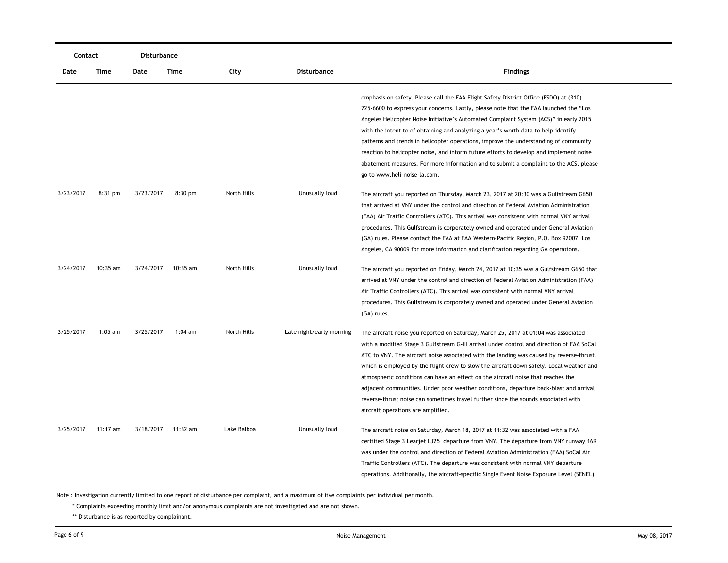|           | Contact    |           | Disturbance |             |                          |                                                                                                                                                                                                                                                                                                                                                                                                                                                                                                                                                                                                                                                                                   |
|-----------|------------|-----------|-------------|-------------|--------------------------|-----------------------------------------------------------------------------------------------------------------------------------------------------------------------------------------------------------------------------------------------------------------------------------------------------------------------------------------------------------------------------------------------------------------------------------------------------------------------------------------------------------------------------------------------------------------------------------------------------------------------------------------------------------------------------------|
| Date      | Time       | Date      | Time        | City        | <b>Disturbance</b>       | <b>Findings</b>                                                                                                                                                                                                                                                                                                                                                                                                                                                                                                                                                                                                                                                                   |
|           |            |           |             |             |                          | emphasis on safety. Please call the FAA Flight Safety District Office (FSDO) at (310)<br>725-6600 to express your concerns. Lastly, please note that the FAA launched the "Los"<br>Angeles Helicopter Noise Initiative's Automated Complaint System (ACS)" in early 2015<br>with the intent to of obtaining and analyzing a year's worth data to help identify<br>patterns and trends in helicopter operations, improve the understanding of community<br>reaction to helicopter noise, and inform future efforts to develop and implement noise<br>abatement measures. For more information and to submit a complaint to the ACS, please<br>go to www.heli-noise-la.com.         |
| 3/23/2017 | $8:31$ pm  | 3/23/2017 | $8:30$ pm   | North Hills | Unusually loud           | The aircraft you reported on Thursday, March 23, 2017 at 20:30 was a Gulfstream G650<br>that arrived at VNY under the control and direction of Federal Aviation Administration<br>(FAA) Air Traffic Controllers (ATC). This arrival was consistent with normal VNY arrival<br>procedures. This Gulfstream is corporately owned and operated under General Aviation<br>(GA) rules. Please contact the FAA at FAA Western-Pacific Region, P.O. Box 92007, Los<br>Angeles, CA 90009 for more information and clarification regarding GA operations.                                                                                                                                  |
| 3/24/2017 | 10:35 am   | 3/24/2017 | 10:35 am    | North Hills | Unusually loud           | The aircraft you reported on Friday, March 24, 2017 at 10:35 was a Gulfstream G650 that<br>arrived at VNY under the control and direction of Federal Aviation Administration (FAA)<br>Air Traffic Controllers (ATC). This arrival was consistent with normal VNY arrival<br>procedures. This Gulfstream is corporately owned and operated under General Aviation<br>(GA) rules.                                                                                                                                                                                                                                                                                                   |
| 3/25/2017 | $1:05$ am  | 3/25/2017 | $1:04$ am   | North Hills | Late night/early morning | The aircraft noise you reported on Saturday, March 25, 2017 at 01:04 was associated<br>with a modified Stage 3 Gulfstream G-III arrival under control and direction of FAA SoCal<br>ATC to VNY. The aircraft noise associated with the landing was caused by reverse-thrust,<br>which is employed by the flight crew to slow the aircraft down safely. Local weather and<br>atmospheric conditions can have an effect on the aircraft noise that reaches the<br>adjacent communities. Under poor weather conditions, departure back-blast and arrival<br>reverse-thrust noise can sometimes travel further since the sounds associated with<br>aircraft operations are amplified. |
| 3/25/2017 | $11:17$ am | 3/18/2017 | $11:32$ am  | Lake Balboa | Unusually loud           | The aircraft noise on Saturday, March 18, 2017 at 11:32 was associated with a FAA<br>certified Stage 3 Learjet LJ25 departure from VNY. The departure from VNY runway 16R<br>was under the control and direction of Federal Aviation Administration (FAA) SoCal Air<br>Traffic Controllers (ATC). The departure was consistent with normal VNY departure<br>operations. Additionally, the aircraft-specific Single Event Noise Exposure Level (SENEL)                                                                                                                                                                                                                             |

\* Complaints exceeding monthly limit and/or anonymous complaints are not investigated and are not shown.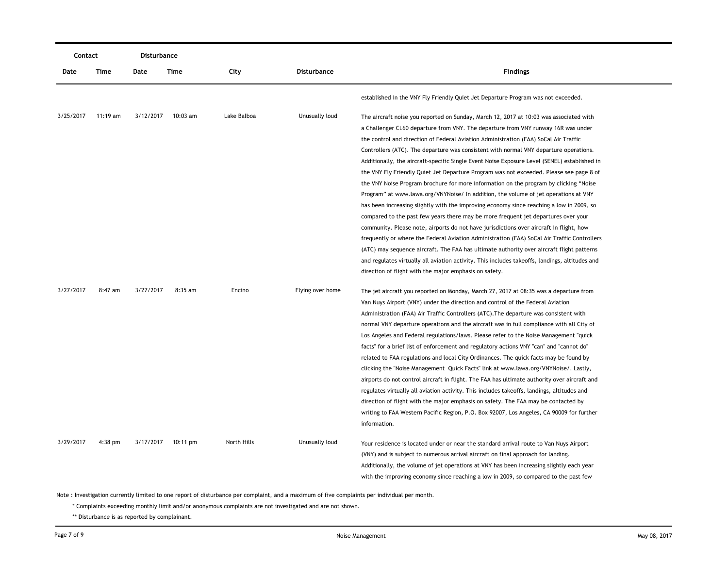| Contact   |           | Disturbance |            |             |                  |                                                                                                                                                                                         |
|-----------|-----------|-------------|------------|-------------|------------------|-----------------------------------------------------------------------------------------------------------------------------------------------------------------------------------------|
| Date      | Time      | Date        | Time       | City        | Disturbance      | <b>Findings</b>                                                                                                                                                                         |
|           |           |             |            |             |                  | established in the VNY Fly Friendly Quiet Jet Departure Program was not exceeded.                                                                                                       |
| 3/25/2017 | 11:19 am  | 3/12/2017   | $10:03$ am | Lake Balboa | Unusually loud   | The aircraft noise you reported on Sunday, March 12, 2017 at 10:03 was associated with                                                                                                  |
|           |           |             |            |             |                  | a Challenger CL60 departure from VNY. The departure from VNY runway 16R was under                                                                                                       |
|           |           |             |            |             |                  | the control and direction of Federal Aviation Administration (FAA) SoCal Air Traffic<br>Controllers (ATC). The departure was consistent with normal VNY departure operations.           |
|           |           |             |            |             |                  |                                                                                                                                                                                         |
|           |           |             |            |             |                  | Additionally, the aircraft-specific Single Event Noise Exposure Level (SENEL) established in<br>the VNY Fly Friendly Quiet Jet Departure Program was not exceeded. Please see page 8 of |
|           |           |             |            |             |                  | the VNY Noise Program brochure for more information on the program by clicking "Noise                                                                                                   |
|           |           |             |            |             |                  | Program" at www.lawa.org/VNYNoise/ In addition, the volume of jet operations at VNY                                                                                                     |
|           |           |             |            |             |                  | has been increasing slightly with the improving economy since reaching a low in 2009, so                                                                                                |
|           |           |             |            |             |                  | compared to the past few years there may be more frequent jet departures over your                                                                                                      |
|           |           |             |            |             |                  | community. Please note, airports do not have jurisdictions over aircraft in flight, how                                                                                                 |
|           |           |             |            |             |                  | frequently or where the Federal Aviation Administration (FAA) SoCal Air Traffic Controllers                                                                                             |
|           |           |             |            |             |                  | (ATC) may sequence aircraft. The FAA has ultimate authority over aircraft flight patterns                                                                                               |
|           |           |             |            |             |                  | and regulates virtually all aviation activity. This includes takeoffs, landings, altitudes and                                                                                          |
|           |           |             |            |             |                  | direction of flight with the major emphasis on safety.                                                                                                                                  |
|           |           |             |            |             |                  |                                                                                                                                                                                         |
| 3/27/2017 | 8:47 am   | 3/27/2017   | 8:35 am    | Encino      | Flying over home | The jet aircraft you reported on Monday, March 27, 2017 at 08:35 was a departure from                                                                                                   |
|           |           |             |            |             |                  | Van Nuys Airport (VNY) under the direction and control of the Federal Aviation                                                                                                          |
|           |           |             |            |             |                  | Administration (FAA) Air Traffic Controllers (ATC). The departure was consistent with                                                                                                   |
|           |           |             |            |             |                  | normal VNY departure operations and the aircraft was in full compliance with all City of                                                                                                |
|           |           |             |            |             |                  | Los Angeles and Federal regulations/laws. Please refer to the Noise Management "quick                                                                                                   |
|           |           |             |            |             |                  | facts" for a brief list of enforcement and regulatory actions VNY "can" and "cannot do"                                                                                                 |
|           |           |             |            |             |                  | related to FAA regulations and local City Ordinances. The quick facts may be found by                                                                                                   |
|           |           |             |            |             |                  | clicking the "Noise Management Quick Facts" link at www.lawa.org/VNYNoise/. Lastly,                                                                                                     |
|           |           |             |            |             |                  | airports do not control aircraft in flight. The FAA has ultimate authority over aircraft and                                                                                            |
|           |           |             |            |             |                  | regulates virtually all aviation activity. This includes takeoffs, landings, altitudes and                                                                                              |
|           |           |             |            |             |                  | direction of flight with the major emphasis on safety. The FAA may be contacted by                                                                                                      |
|           |           |             |            |             |                  | writing to FAA Western Pacific Region, P.O. Box 92007, Los Angeles, CA 90009 for further                                                                                                |
|           |           |             |            |             |                  | information.                                                                                                                                                                            |
| 3/29/2017 | $4:38$ pm | 3/17/2017   | 10:11 pm   | North Hills | Unusually loud   | Your residence is located under or near the standard arrival route to Van Nuys Airport                                                                                                  |
|           |           |             |            |             |                  | (VNY) and is subject to numerous arrival aircraft on final approach for landing.                                                                                                        |
|           |           |             |            |             |                  | Additionally, the volume of jet operations at VNY has been increasing slightly each year                                                                                                |
|           |           |             |            |             |                  | with the improving economy since reaching a low in 2009, so compared to the past few                                                                                                    |

\* Complaints exceeding monthly limit and/or anonymous complaints are not investigated and are not shown.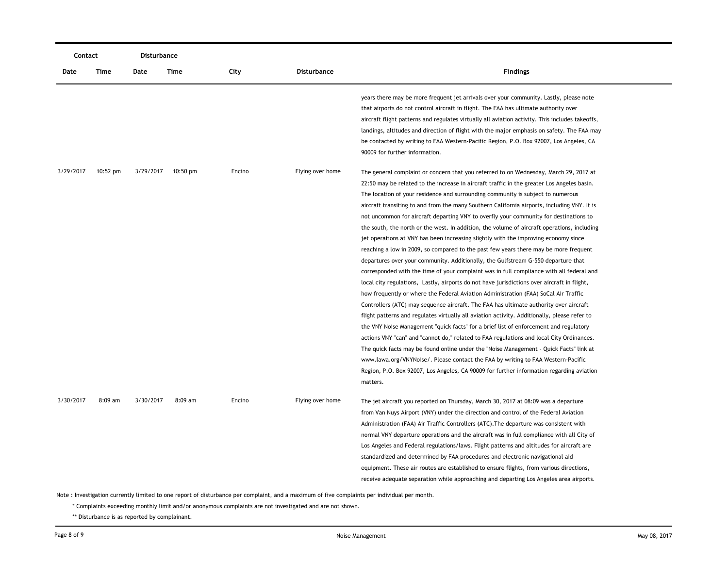| Contact   |            | Disturbance |           |        |                    |                                                                                                                                                                                                                                                                                                                                                                                                                                                                                                                                                                                                                                                                                                                                                                                                                                                                                                                                                                                                                                                                                                                                                                                                                                                                                                                                                                                                                                                                                                                                                                                                                                                                                                                                                                                         |
|-----------|------------|-------------|-----------|--------|--------------------|-----------------------------------------------------------------------------------------------------------------------------------------------------------------------------------------------------------------------------------------------------------------------------------------------------------------------------------------------------------------------------------------------------------------------------------------------------------------------------------------------------------------------------------------------------------------------------------------------------------------------------------------------------------------------------------------------------------------------------------------------------------------------------------------------------------------------------------------------------------------------------------------------------------------------------------------------------------------------------------------------------------------------------------------------------------------------------------------------------------------------------------------------------------------------------------------------------------------------------------------------------------------------------------------------------------------------------------------------------------------------------------------------------------------------------------------------------------------------------------------------------------------------------------------------------------------------------------------------------------------------------------------------------------------------------------------------------------------------------------------------------------------------------------------|
| Date      | Time       | Date        | Time      | City   | <b>Disturbance</b> | <b>Findings</b>                                                                                                                                                                                                                                                                                                                                                                                                                                                                                                                                                                                                                                                                                                                                                                                                                                                                                                                                                                                                                                                                                                                                                                                                                                                                                                                                                                                                                                                                                                                                                                                                                                                                                                                                                                         |
|           |            |             |           |        |                    | years there may be more frequent jet arrivals over your community. Lastly, please note<br>that airports do not control aircraft in flight. The FAA has ultimate authority over<br>aircraft flight patterns and regulates virtually all aviation activity. This includes takeoffs,<br>landings, altitudes and direction of flight with the major emphasis on safety. The FAA may<br>be contacted by writing to FAA Western-Pacific Region, P.O. Box 92007, Los Angeles, CA<br>90009 for further information.                                                                                                                                                                                                                                                                                                                                                                                                                                                                                                                                                                                                                                                                                                                                                                                                                                                                                                                                                                                                                                                                                                                                                                                                                                                                             |
| 3/29/2017 | $10:52$ pm | 3/29/2017   | 10:50 pm  | Encino | Flying over home   | The general complaint or concern that you referred to on Wednesday, March 29, 2017 at<br>22:50 may be related to the increase in aircraft traffic in the greater Los Angeles basin.<br>The location of your residence and surrounding community is subject to numerous<br>aircraft transiting to and from the many Southern California airports, including VNY. It is<br>not uncommon for aircraft departing VNY to overfly your community for destinations to<br>the south, the north or the west. In addition, the volume of aircraft operations, including<br>jet operations at VNY has been increasing slightly with the improving economy since<br>reaching a low in 2009, so compared to the past few years there may be more frequent<br>departures over your community. Additionally, the Gulfstream G-550 departure that<br>corresponded with the time of your complaint was in full compliance with all federal and<br>local city regulations, Lastly, airports do not have jurisdictions over aircraft in flight,<br>how frequently or where the Federal Aviation Administration (FAA) SoCal Air Traffic<br>Controllers (ATC) may sequence aircraft. The FAA has ultimate authority over aircraft<br>flight patterns and regulates virtually all aviation activity. Additionally, please refer to<br>the VNY Noise Management "quick facts" for a brief list of enforcement and regulatory<br>actions VNY "can" and "cannot do," related to FAA regulations and local City Ordinances.<br>The quick facts may be found online under the "Noise Management - Quick Facts" link at<br>www.lawa.org/VNYNoise/. Please contact the FAA by writing to FAA Western-Pacific<br>Region, P.O. Box 92007, Los Angeles, CA 90009 for further information regarding aviation<br>matters. |
| 3/30/2017 | $8:09$ am  | 3/30/2017   | $8:09$ am | Encino | Flying over home   | The jet aircraft you reported on Thursday, March 30, 2017 at 08:09 was a departure<br>from Van Nuys Airport (VNY) under the direction and control of the Federal Aviation<br>Administration (FAA) Air Traffic Controllers (ATC). The departure was consistent with<br>normal VNY departure operations and the aircraft was in full compliance with all City of<br>Los Angeles and Federal regulations/laws. Flight patterns and altitudes for aircraft are<br>standardized and determined by FAA procedures and electronic navigational aid<br>equipment. These air routes are established to ensure flights, from various directions,<br>receive adequate separation while approaching and departing Los Angeles area airports.                                                                                                                                                                                                                                                                                                                                                                                                                                                                                                                                                                                                                                                                                                                                                                                                                                                                                                                                                                                                                                                        |

\* Complaints exceeding monthly limit and/or anonymous complaints are not investigated and are not shown.